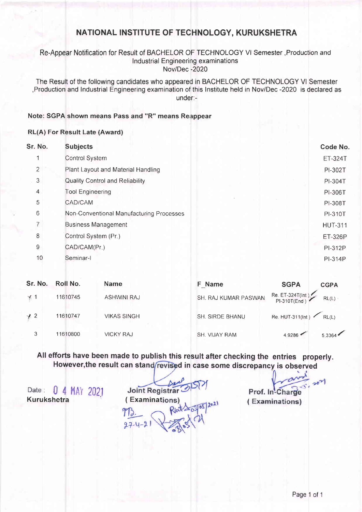# NATIONAL INSTITUTE OF TECHNOLOGY, KURUKSHETRA

### Re-Appear Notification for Result of BACHELOR OF TECHNOLOGY Vl Semester ,Production and lndustrial Engineering examinations Nov/Dec -2020

The Result of the following candidates who appeared in BACHELOR OF TECHNOLOGY Vl Semester ,Production and lndustrial Engineering examination of this lnstitute held in Nov/Dec -2020 is declared as under:-

#### Note: SGPA shown means Pass and "R" means Reappear

### RL(A) For Result Late (Award)

| Sr. No.        | <b>Subjects</b>                          | Code No.       |
|----------------|------------------------------------------|----------------|
| 1              | <b>Control System</b>                    | ET-324T        |
| $\overline{2}$ | Plant Layout and Material Handling       | PI-302T        |
| 3              | <b>Quality Control and Reliability</b>   | PI-304T        |
| $\overline{4}$ | <b>Tool Engineering</b>                  | PI-306T        |
| 5              | CAD/CAM                                  | PI-308T        |
| 6              | Non-Conventional Manufacturing Processes | PI-310T        |
| $\overline{7}$ | <b>Business Management</b>               | <b>HUT-311</b> |
| 8              | Control System (Pr.)                     | <b>ET-326P</b> |
| 9              | CAD/CAM(Pr.)                             | <b>PI-312P</b> |
| 10             | Seminar-I                                | PI-314P        |
|                |                                          |                |

| Sr. No.    | Roll No. | <b>Name</b>        | F Name               | <b>SGPA</b>                      | <b>CGPA</b> |
|------------|----------|--------------------|----------------------|----------------------------------|-------------|
| $\times 1$ | 11610745 | <b>ASHWINI RAJ</b> | SH. RAJ KUMAR PASWAN | Re. ET-324T(Int),                | RL(L)       |
| $+2$       | 11610747 | <b>VIKAS SINGH</b> | SH. SIRDE BHANU      | Re. HUT-311(Int) $\bigcap$ RL(L) |             |
| 3          | 11610800 | <b>VICKY RAJ</b>   | SH. VIJAY RAM        | 4.9286                           | 5.3364      |

# All efforts have been made to publish this result after checking the entries properly. However, the result can stand revised in case some discrepancy is observed

Date: 0 4 MAY 2021 Joint Registrar<br>Kurukshetra (Examinations)

**Joint Registrar**  $202$  $\frac{1}{10}$  $27 - 4 - 7$ 

Prof. In-Charge (Examinations)